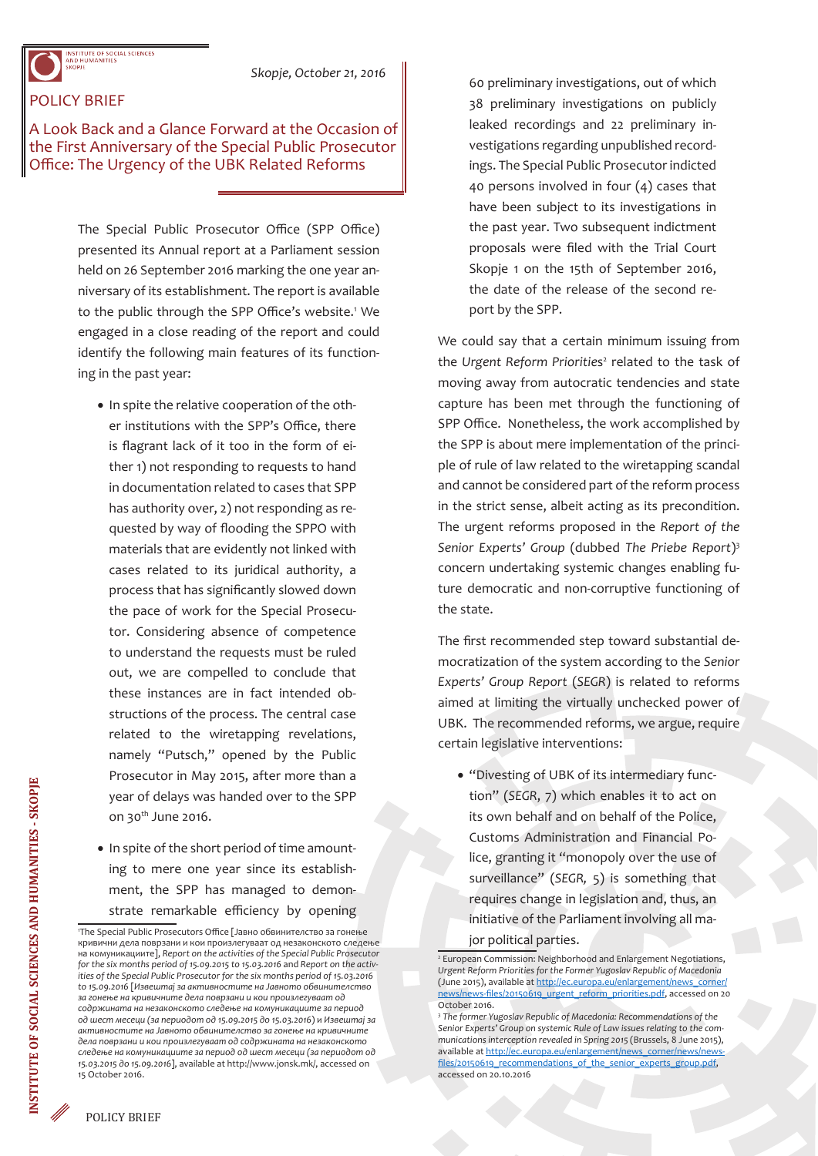## POLICY BRIEF

A Look Back and a Glance Forward at the Occasion of the First Anniversary of the Special Public Prosecutor Office: The Urgency of the UBK Related Reforms

> The Special Public Prosecutor Office (SPP Office) presented its Annual report at a Parliament session held on 26 September 2016 marking the one year anniversary of its establishment. The report is available to the public through the SPP Office's website.<sup>1</sup> We engaged in a close reading of the report and could identify the following main features of its functioning in the past year:

- In spite the relative cooperation of the other institutions with the SPP's Office, there is flagrant lack of it too in the form of either 1) not responding to requests to hand in documentation related to cases that SPP has authority over, 2) not responding as requested by way of flooding the SPPO with materials that are evidently not linked with cases related to its juridical authority, a process that has significantly slowed down the pace of work for the Special Prosecutor. Considering absence of competence to understand the requests must be ruled out, we are compelled to conclude that these instances are in fact intended obstructions of the process. The central case related to the wiretapping revelations, namely "Putsch," opened by the Public Prosecutor in May 2015, after more than a year of delays was handed over to the SPP on  $30<sup>th</sup>$  June 2016.
- In spite of the short period of time amounting to mere one year since its establishment, the SPP has managed to demonstrate remarkable efficiency by opening

60 preliminary investigations, out of which 38 preliminary investigations on publicly leaked recordings and 22 preliminary investigations regarding unpublished recordings. The Special Public Prosecutor indicted 40 persons involved in four (4) cases that have been subject to its investigations in the past year. Two subsequent indictment proposals were filed with the Trial Court Skopje 1 on the 15th of September 2016, the date of the release of the second report by the SPP.

We could say that a certain minimum issuing from the Urgent Reform Priorities<sup>2</sup> related to the task of moving away from autocratic tendencies and state capture has been met through the functioning of SPP Office. Nonetheless, the work accomplished by the SPP is about mere implementation of the principle of rule of law related to the wiretapping scandal and cannot be considered part of the reform process in the strict sense, albeit acting as its precondition. The urgent reforms proposed in the *Report of the Senior Experts' Group* (dubbed *The Priebe Report*)<sup>3</sup> concern undertaking systemic changes enabling future democratic and non-corruptive functioning of the state.

The first recommended step toward substantial democratization of the system according to the *Senior Experts' Group Report* (*SEGR*) is related to reforms aimed at limiting the virtually unchecked power of UBK. The recommended reforms, we argue, require certain legislative interventions:

• "Divesting of UBK of its intermediary function" (*SEGR*, 7) which enables it to act on its own behalf and on behalf of the Police, Customs Administration and Financial Police, granting it "monopoly over the use of surveillance" (*SEGR,* 5) is something that requires change in legislation and, thus, an initiative of the Parliament involving all major political parties.

<sup>1</sup> The Special Public Prosecutors Office [Јавно обвинителство за гонење кривични дела поврзани и кои произлегуваат од незаконското следење на комуникациите], *Report on the activities of the Special Public Prosecutor for the six months period of 15.09.2015 to 15.03.2016* and *Report on the activities of the Special Public Prosecutor for the six months period of 15.03.2016 to 15.09.2016* [*Извештај за активностите на Јавното обвинителство за гонење на кривичните дела поврзани и кои произлегуваат од содржината на незаконското следење на комуникациите за период од шест месеци (за периодот од 15.09.2015 до 15.03.2016*) и *Извештај за активностите на Јавното обвинителство за гонење на кривичните дела поврзани и кои произлегуваат од содржината на незаконското следење на комуникациите за период од шест месеци (за периодот од 15.03.2015 до 15.09.2016*], available at http://www.jonsk.mk/, accessed on 15 October 2016.

<sup>2</sup> European Commission: Neighborhood and Enlargement Negotiations, *Urgent Reform Priorities for the Former Yugoslav Republic of Macedonia* (June 2015), available at http://ec.europa.eu/enlargement/news\_corner/ news/news-files/20150619\_urgent\_reform\_priorities.pdf, accessed on 20 October 2016.

<sup>3</sup> *The former Yugoslav Republic of Macedonia: Recommendations of the Senior Experts' Group on systemic Rule of Law issues relating to the communications interception revealed in Spring 2015* (Brussels, 8 June 2015), available at http://ec.europa.eu/enlargement/news\_corner/news/newsfiles/20150619\_recommendations\_of\_the\_senior\_experts\_group.pdf, accessed on 20.10.2016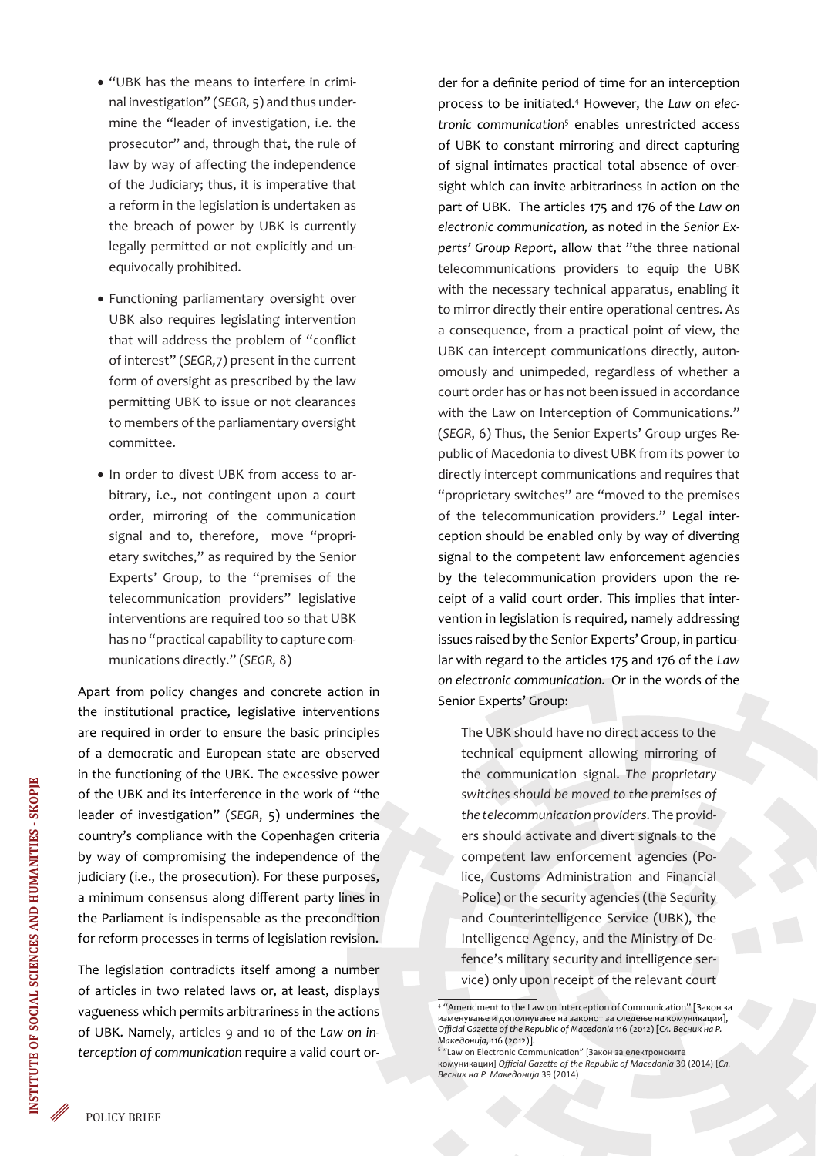- "UBK has the means to interfere in criminal investigation" (*SEGR,* 5) and thus undermine the "leader of investigation, i.e. the prosecutor" and, through that, the rule of law by way of affecting the independence of the Judiciary; thus, it is imperative that a reform in the legislation is undertaken as the breach of power by UBK is currently legally permitted or not explicitly and unequivocally prohibited.
- Functioning parliamentary oversight over UBK also requires legislating intervention that will address the problem of "conflict of interest" (*SEGR,*7) present in the current form of oversight as prescribed by the law permitting UBK to issue or not clearances to members of the parliamentary oversight committee.
- In order to divest UBK from access to arbitrary, i.e., not contingent upon a court order, mirroring of the communication signal and to, therefore, move "proprietary switches," as required by the Senior Experts' Group, to the "premises of the telecommunication providers" legislative interventions are required too so that UBK has no "practical capability to capture communications directly." (*SEGR,* 8)

Apart from policy changes and concrete action in the institutional practice, legislative interventions are required in order to ensure the basic principles of a democratic and European state are observed in the functioning of the UBK. The excessive power of the UBK and its interference in the work of "the leader of investigation" (*SEGR*, 5) undermines the country's compliance with the Copenhagen criteria by way of compromising the independence of the judiciary (i.e., the prosecution). For these purposes, a minimum consensus along different party lines in the Parliament is indispensable as the precondition for reform processes in terms of legislation revision.

The legislation contradicts itself among a number of articles in two related laws or, at least, displays vagueness which permits arbitrariness in the actions of UBK. Namely, articles 9 and 10 of the *Law on interception of communication* require a valid court order for a definite period of time for an interception process to be initiated.4 However, the *Law on electronic communication*<sup>5</sup> enables unrestricted access of UBK to constant mirroring and direct capturing of signal intimates practical total absence of oversight which can invite arbitrariness in action on the part of UBK. The articles 175 and 176 of the *Law on electronic communication,* as noted in the *Senior Experts' Group Report*, allow that "the three national telecommunications providers to equip the UBK with the necessary technical apparatus, enabling it to mirror directly their entire operational centres. As a consequence, from a practical point of view, the UBK can intercept communications directly, autonomously and unimpeded, regardless of whether a court order has or has not been issued in accordance with the Law on Interception of Communications." (*SEGR*, 6) Thus, the Senior Experts' Group urges Republic of Macedonia to divest UBK from its power to directly intercept communications and requires that "proprietary switches" are "moved to the premises of the telecommunication providers." Legal interception should be enabled only by way of diverting signal to the competent law enforcement agencies by the telecommunication providers upon the receipt of a valid court order. This implies that intervention in legislation is required, namely addressing issues raised by the Senior Experts' Group, in particular with regard to the articles 175 and 176 of the *Law on electronic communication*. Or in the words of the Senior Experts' Group:

The UBK should have no direct access to the technical equipment allowing mirroring of the communication signal. *The proprietary switches should be moved to the premises of the telecommunication providers*. The providers should activate and divert signals to the competent law enforcement agencies (Police, Customs Administration and Financial Police) or the security agencies (the Security and Counterintelligence Service (UBK), the Intelligence Agency, and the Ministry of Defence's military security and intelligence service) only upon receipt of the relevant court

<sup>4</sup> "Amendment to the Law on Interception of Communication" [Закон за изменување и дополнување на законот за следење на комуникации], *Official Gazette of the Republic of Macedonia* 116 (2012) [*Сл. Весник на Р. Македонија*, 116 (2012)].

<sup>&</sup>lt;sup>5</sup> "Law on Electronic Communication" [Закон за електронските комуникации] *Official Gazette of the Republic of Macedonia* 39 (2014) [*Сл. Весник на Р. Македонија* 39 (2014)